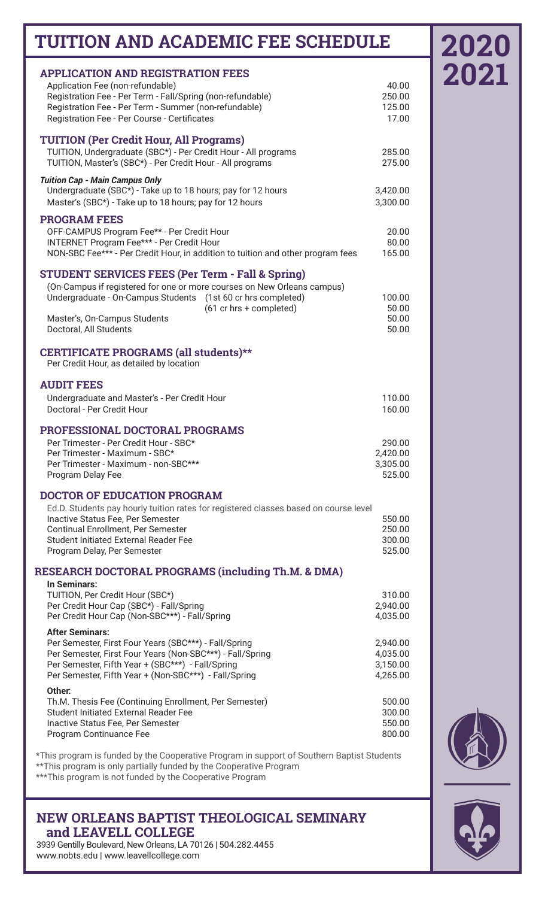## **TUITION AND ACADEMIC FEE SCHEDULE**

| <b>APPLICATION AND REGISTRATION FEES</b>                                             |          |
|--------------------------------------------------------------------------------------|----------|
| Application Fee (non-refundable)                                                     | 40.00    |
| Registration Fee - Per Term - Fall/Spring (non-refundable)                           | 250.00   |
| Registration Fee - Per Term - Summer (non-refundable)                                | 125.00   |
| Registration Fee - Per Course - Certificates                                         | 17.00    |
|                                                                                      |          |
| <b>TUITION (Per Credit Hour, All Programs)</b>                                       |          |
| TUITION, Undergraduate (SBC*) - Per Credit Hour - All programs                       | 285.00   |
| TUITION, Master's (SBC*) - Per Credit Hour - All programs                            | 275.00   |
| <b>Tuition Cap - Main Campus Only</b>                                                |          |
| Undergraduate (SBC*) - Take up to 18 hours; pay for 12 hours                         | 3,420.00 |
| Master's (SBC*) - Take up to 18 hours; pay for 12 hours                              | 3,300.00 |
| <b>PROGRAM FEES</b>                                                                  |          |
| OFF-CAMPUS Program Fee** - Per Credit Hour                                           | 20.00    |
| INTERNET Program Fee*** - Per Credit Hour                                            | 80.00    |
| NON-SBC Fee*** - Per Credit Hour, in addition to tuition and other program fees      | 165.00   |
|                                                                                      |          |
| <b>STUDENT SERVICES FEES (Per Term - Fall &amp; Spring)</b>                          |          |
| (On-Campus if registered for one or more courses on New Orleans campus)              |          |
| Undergraduate - On-Campus Students (1st 60 cr hrs completed)                         | 100.00   |
| (61 cr hrs + completed)                                                              | 50.00    |
| Master's, On-Campus Students                                                         | 50.00    |
| Doctoral, All Students                                                               | 50.00    |
| CERTIFICATE PROGRAMS (all students)**                                                |          |
| Per Credit Hour, as detailed by location                                             |          |
|                                                                                      |          |
| <b>AUDIT FEES</b>                                                                    |          |
| Undergraduate and Master's - Per Credit Hour                                         | 110.00   |
| Doctoral - Per Credit Hour                                                           | 160.00   |
|                                                                                      |          |
| PROFESSIONAL DOCTORAL PROGRAMS                                                       |          |
| Per Trimester - Per Credit Hour - SBC*                                               | 290.00   |
| Per Trimester - Maximum - SBC*                                                       | 2,420.00 |
| Per Trimester - Maximum - non-SBC***                                                 | 3,305.00 |
| Program Delay Fee                                                                    | 525.00   |
| <b>DOCTOR OF EDUCATION PROGRAM</b>                                                   |          |
| Ed.D. Students pay hourly tuition rates for registered classes based on course level |          |
| Inactive Status Fee, Per Semester                                                    | 550.00   |
| Continual Enrollment, Per Semester                                                   | 250.00   |
| <b>Student Initiated External Reader Fee</b>                                         | 300.00   |
| Program Delay, Per Semester                                                          | 525.00   |
|                                                                                      |          |
| <b>RESEARCH DOCTORAL PROGRAMS (including Th.M. &amp; DMA)</b>                        |          |
| In Seminars:<br>TUITION, Per Credit Hour (SBC*)                                      | 310.00   |
| Per Credit Hour Cap (SBC*) - Fall/Spring                                             | 2,940.00 |
| Per Credit Hour Cap (Non-SBC***) - Fall/Spring                                       | 4,035.00 |
|                                                                                      |          |
| <b>After Seminars:</b><br>Per Semester, First Four Years (SBC***) - Fall/Spring      | 2,940.00 |
| Per Semester, First Four Years (Non-SBC***) - Fall/Spring                            | 4,035.00 |
| Per Semester, Fifth Year + (SBC***) - Fall/Spring                                    | 3,150.00 |
| Per Semester, Fifth Year + (Non-SBC***) - Fall/Spring                                | 4,265.00 |
| Other:                                                                               |          |
| Th.M. Thesis Fee (Continuing Enrollment, Per Semester)                               | 500.00   |
| Student Initiated External Reader Fee                                                | 300.00   |
| Inactive Status Fee, Per Semester                                                    | 550.00   |
| Program Continuance Fee                                                              | 800.00   |
|                                                                                      |          |

\*This program is funded by the Cooperative Program in support of Southern Baptist Students \*\*This program is only partially funded by the Cooperative Program \*\*\*This program is not funded by the Cooperative Program

## **NEW ORLEANS BAPTIST THEOLOGICAL SEMINARY and LEAVELL COLLEGE**

3939 Gentilly Boulevard, New Orleans, LA 70126 | 504.282.4455 www.nobts.edu | www.leavellcollege.com



**2020**

**2021**